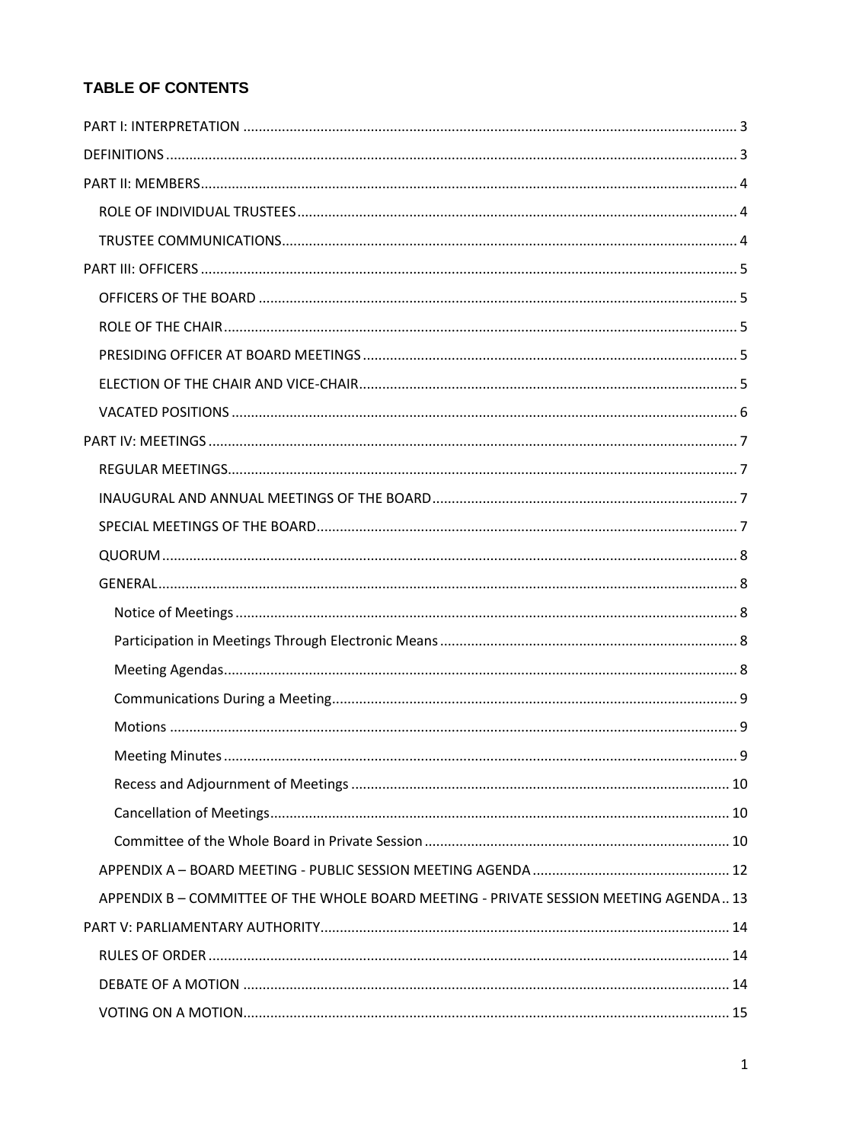# TABLE OF CONTENTS

| APPENDIX B - COMMITTEE OF THE WHOLE BOARD MEETING - PRIVATE SESSION MEETING AGENDA 13 |  |  |
|---------------------------------------------------------------------------------------|--|--|
|                                                                                       |  |  |
|                                                                                       |  |  |
|                                                                                       |  |  |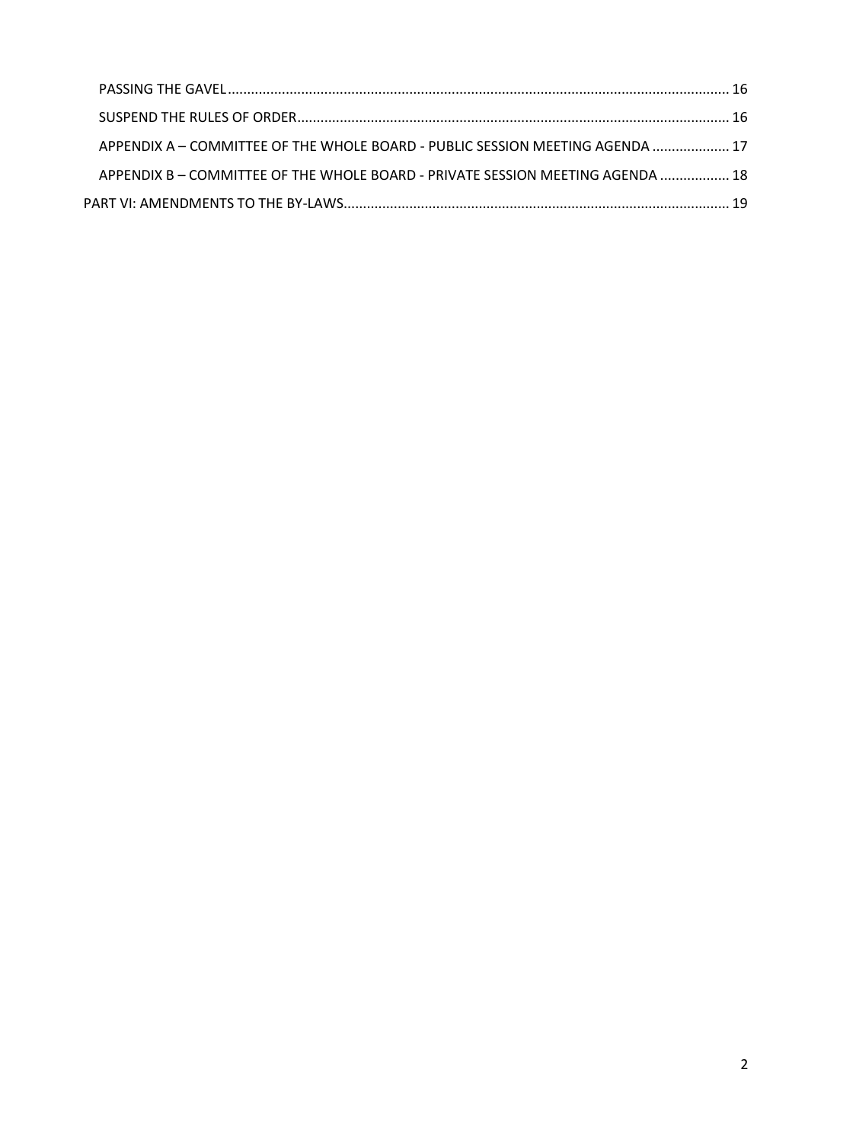| APPENDIX A - COMMITTEE OF THE WHOLE BOARD - PUBLIC SESSION MEETING AGENDA  17  |  |
|--------------------------------------------------------------------------------|--|
| APPENDIX B – COMMITTEE OF THE WHOLE BOARD - PRIVATE SESSION MEETING AGENDA  18 |  |
|                                                                                |  |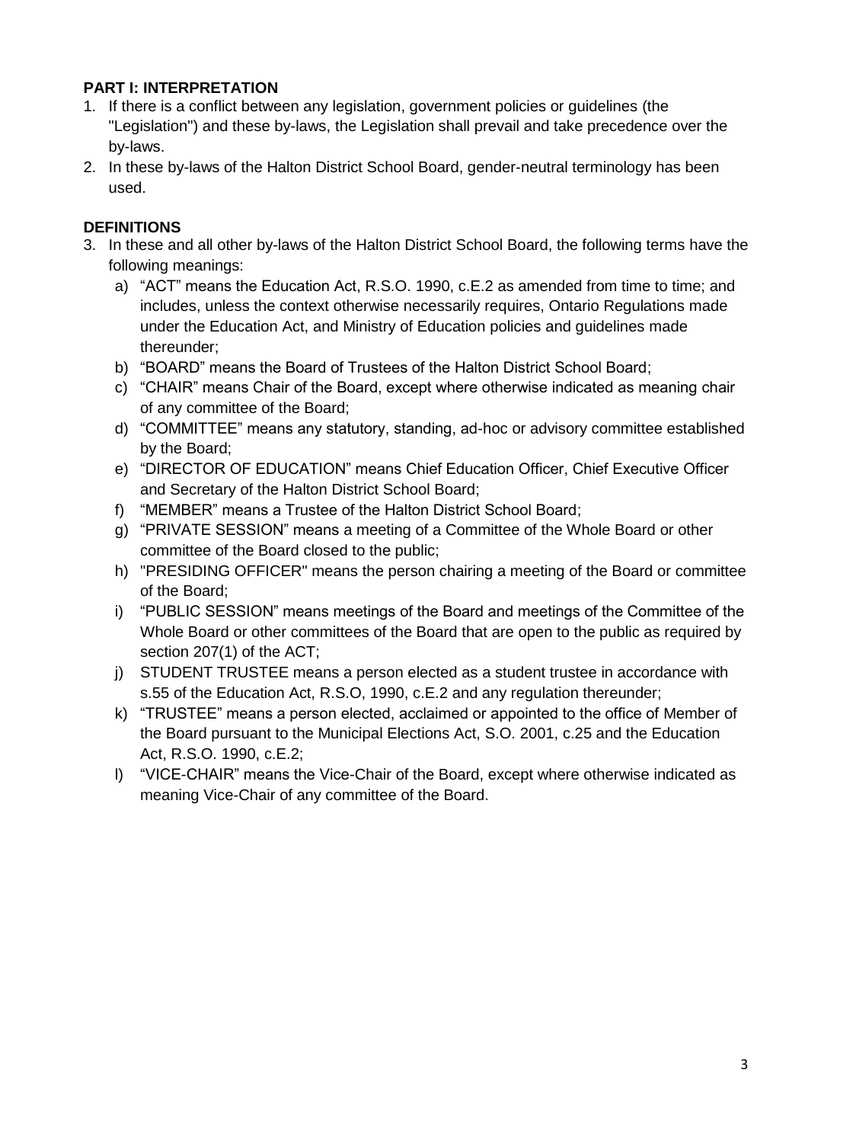# <span id="page-2-0"></span>**PART I: INTERPRETATION**

- 1. If there is a conflict between any legislation, government policies or guidelines (the "Legislation") and these by-laws, the Legislation shall prevail and take precedence over the by-laws.
- 2. In these by-laws of the Halton District School Board, gender-neutral terminology has been used.

# <span id="page-2-1"></span>**DEFINITIONS**

- 3. In these and all other by-laws of the Halton District School Board, the following terms have the following meanings:
	- a) "ACT" means the Education Act, R.S.O. 1990, c.E.2 as amended from time to time; and includes, unless the context otherwise necessarily requires, Ontario Regulations made under the Education Act, and Ministry of Education policies and guidelines made thereunder;
	- b) "BOARD" means the Board of Trustees of the Halton District School Board;
	- c) "CHAIR" means Chair of the Board, except where otherwise indicated as meaning chair of any committee of the Board;
	- d) "COMMITTEE" means any statutory, standing, ad-hoc or advisory committee established by the Board;
	- e) "DIRECTOR OF EDUCATION" means Chief Education Officer, Chief Executive Officer and Secretary of the Halton District School Board;
	- f) "MEMBER" means a Trustee of the Halton District School Board;
	- g) "PRIVATE SESSION" means a meeting of a Committee of the Whole Board or other committee of the Board closed to the public;
	- h) "PRESIDING OFFICER" means the person chairing a meeting of the Board or committee of the Board;
	- i) "PUBLIC SESSION" means meetings of the Board and meetings of the Committee of the Whole Board or other committees of the Board that are open to the public as required by section 207(1) of the ACT;
	- j) STUDENT TRUSTEE means a person elected as a student trustee in accordance with s.55 of the Education Act, R.S.O, 1990, c.E.2 and any regulation thereunder;
	- k) "TRUSTEE" means a person elected, acclaimed or appointed to the office of Member of the Board pursuant to the Municipal Elections Act, S.O. 2001, c.25 and the Education Act, R.S.O. 1990, c.E.2;
	- l) "VICE-CHAIR" means the Vice-Chair of the Board, except where otherwise indicated as meaning Vice-Chair of any committee of the Board.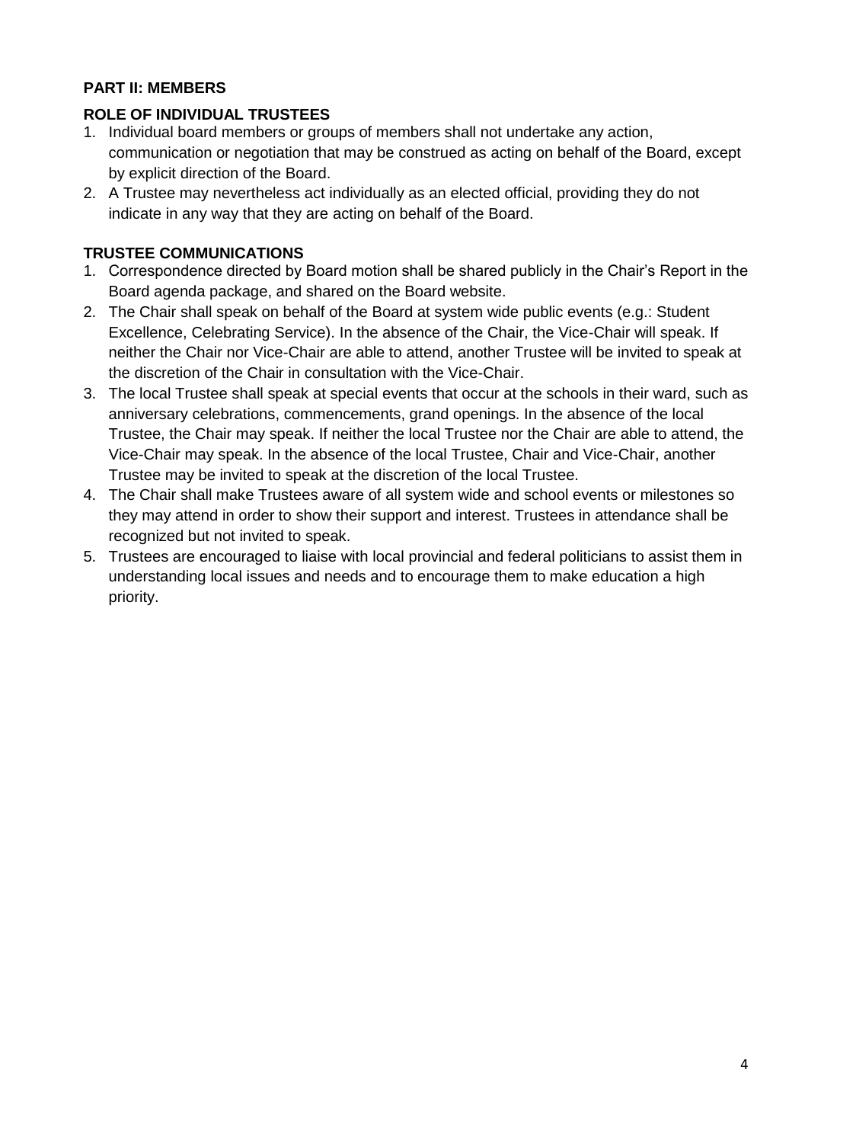# <span id="page-3-0"></span>**PART II: MEMBERS**

## <span id="page-3-1"></span>**ROLE OF INDIVIDUAL TRUSTEES**

- 1. Individual board members or groups of members shall not undertake any action, communication or negotiation that may be construed as acting on behalf of the Board, except by explicit direction of the Board.
- 2. A Trustee may nevertheless act individually as an elected official, providing they do not indicate in any way that they are acting on behalf of the Board.

## <span id="page-3-2"></span>**TRUSTEE COMMUNICATIONS**

- 1. Correspondence directed by Board motion shall be shared publicly in the Chair's Report in the Board agenda package, and shared on the Board website.
- 2. The Chair shall speak on behalf of the Board at system wide public events (e.g.: Student Excellence, Celebrating Service). In the absence of the Chair, the Vice-Chair will speak. If neither the Chair nor Vice-Chair are able to attend, another Trustee will be invited to speak at the discretion of the Chair in consultation with the Vice-Chair.
- 3. The local Trustee shall speak at special events that occur at the schools in their ward, such as anniversary celebrations, commencements, grand openings. In the absence of the local Trustee, the Chair may speak. If neither the local Trustee nor the Chair are able to attend, the Vice-Chair may speak. In the absence of the local Trustee, Chair and Vice-Chair, another Trustee may be invited to speak at the discretion of the local Trustee.
- 4. The Chair shall make Trustees aware of all system wide and school events or milestones so they may attend in order to show their support and interest. Trustees in attendance shall be recognized but not invited to speak.
- 5. Trustees are encouraged to liaise with local provincial and federal politicians to assist them in understanding local issues and needs and to encourage them to make education a high priority.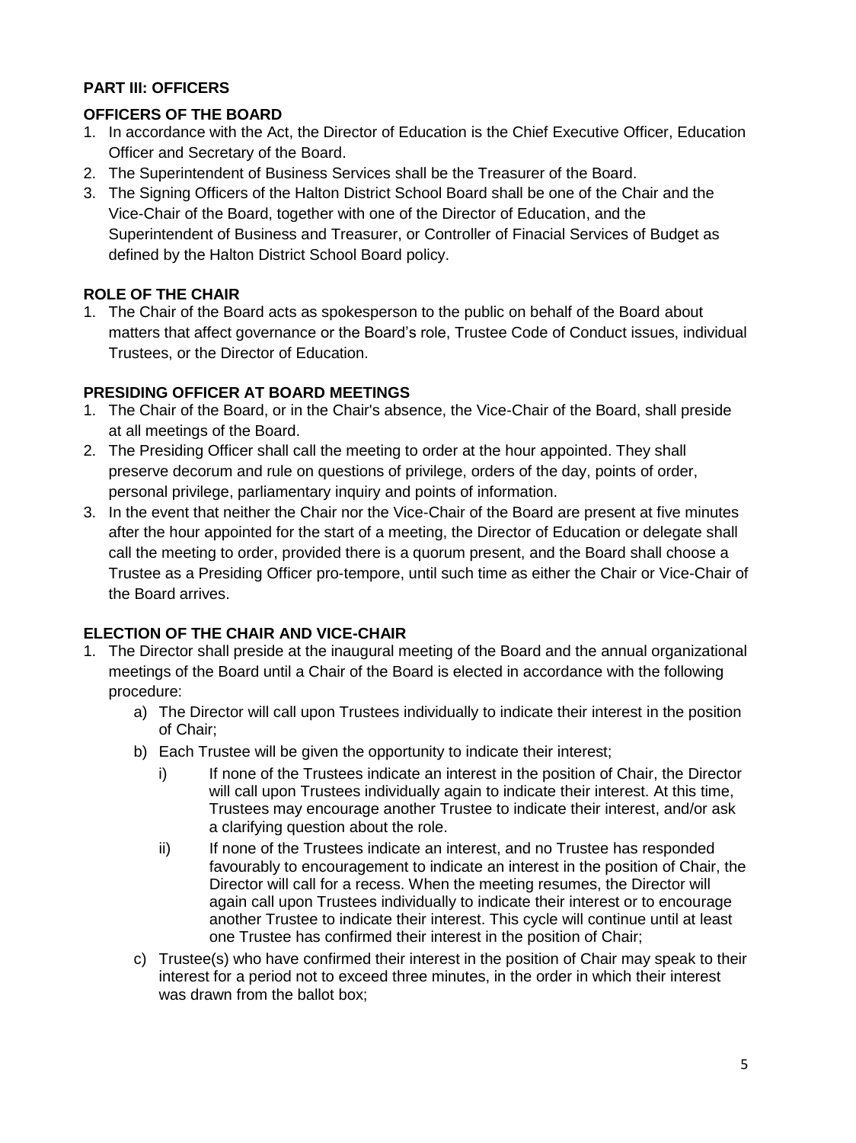# <span id="page-4-0"></span>**PART III: OFFICERS**

# <span id="page-4-1"></span>**OFFICERS OF THE BOARD**

- 1. In accordance with the Act, the Director of Education is the Chief Executive Officer, Education Officer and Secretary of the Board.
- 2. The Superintendent of Business Services shall be the Treasurer of the Board.
- 3. The Signing Officers of the Halton District School Board shall be one of the Chair and the Vice-Chair of the Board, together with one of the Director of Education, and the Superintendent of Business and Treasurer, or Controller of Finacial Services of Budget as defined by the Halton District School Board policy.

# <span id="page-4-2"></span>**ROLE OF THE CHAIR**

1. The Chair of the Board acts as spokesperson to the public on behalf of the Board about matters that affect governance or the Board's role, Trustee Code of Conduct issues, individual Trustees, or the Director of Education.

## <span id="page-4-3"></span>**PRESIDING OFFICER AT BOARD MEETINGS**

- 1. The Chair of the Board, or in the Chair's absence, the Vice-Chair of the Board, shall preside at all meetings of the Board.
- 2. The Presiding Officer shall call the meeting to order at the hour appointed. They shall preserve decorum and rule on questions of privilege, orders of the day, points of order, personal privilege, parliamentary inquiry and points of information.
- 3. In the event that neither the Chair nor the Vice-Chair of the Board are present at five minutes after the hour appointed for the start of a meeting, the Director of Education or delegate shall call the meeting to order, provided there is a quorum present, and the Board shall choose a Trustee as a Presiding Officer pro-tempore, until such time as either the Chair or Vice-Chair of the Board arrives.

# <span id="page-4-4"></span>**ELECTION OF THE CHAIR AND VICE-CHAIR**

- 1. The Director shall preside at the inaugural meeting of the Board and the annual organizational meetings of the Board until a Chair of the Board is elected in accordance with the following procedure:
	- a) The Director will call upon Trustees individually to indicate their interest in the position of Chair;
	- b) Each Trustee will be given the opportunity to indicate their interest;
		- i) If none of the Trustees indicate an interest in the position of Chair, the Director will call upon Trustees individually again to indicate their interest. At this time, Trustees may encourage another Trustee to indicate their interest, and/or ask a clarifying question about the role.
		- ii) If none of the Trustees indicate an interest, and no Trustee has responded favourably to encouragement to indicate an interest in the position of Chair, the Director will call for a recess. When the meeting resumes, the Director will again call upon Trustees individually to indicate their interest or to encourage another Trustee to indicate their interest. This cycle will continue until at least one Trustee has confirmed their interest in the position of Chair;
	- c) Trustee(s) who have confirmed their interest in the position of Chair may speak to their interest for a period not to exceed three minutes, in the order in which their interest was drawn from the ballot box;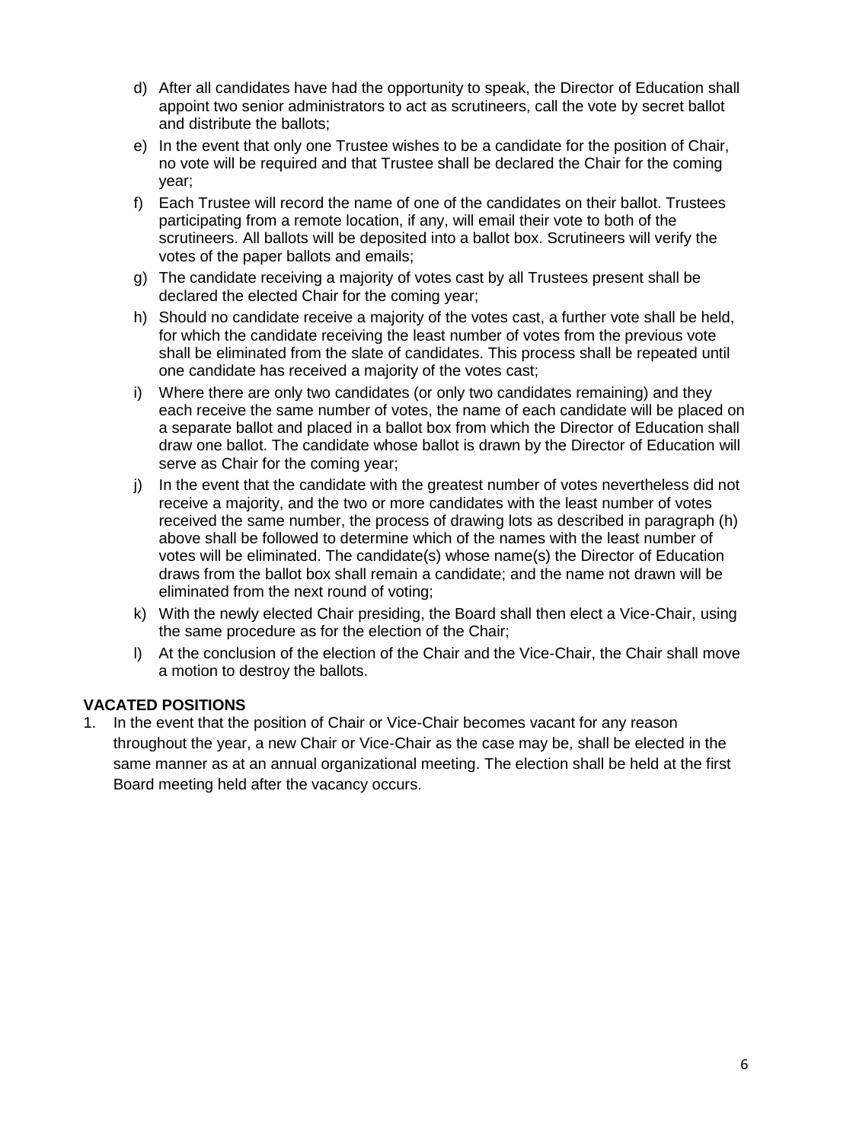- d) After all candidates have had the opportunity to speak, the Director of Education shall appoint two senior administrators to act as scrutineers, call the vote by secret ballot and distribute the ballots;
- e) In the event that only one Trustee wishes to be a candidate for the position of Chair, no vote will be required and that Trustee shall be declared the Chair for the coming year;
- f) Each Trustee will record the name of one of the candidates on their ballot. Trustees participating from a remote location, if any, will email their vote to both of the scrutineers. All ballots will be deposited into a ballot box. Scrutineers will verify the votes of the paper ballots and emails;
- g) The candidate receiving a majority of votes cast by all Trustees present shall be declared the elected Chair for the coming year;
- h) Should no candidate receive a majority of the votes cast, a further vote shall be held, for which the candidate receiving the least number of votes from the previous vote shall be eliminated from the slate of candidates. This process shall be repeated until one candidate has received a majority of the votes cast;
- i) Where there are only two candidates (or only two candidates remaining) and they each receive the same number of votes, the name of each candidate will be placed on a separate ballot and placed in a ballot box from which the Director of Education shall draw one ballot. The candidate whose ballot is drawn by the Director of Education will serve as Chair for the coming year;
- j) In the event that the candidate with the greatest number of votes nevertheless did not receive a majority, and the two or more candidates with the least number of votes received the same number, the process of drawing lots as described in paragraph (h) above shall be followed to determine which of the names with the least number of votes will be eliminated. The candidate(s) whose name(s) the Director of Education draws from the ballot box shall remain a candidate; and the name not drawn will be eliminated from the next round of voting;
- k) With the newly elected Chair presiding, the Board shall then elect a Vice-Chair, using the same procedure as for the election of the Chair;
- l) At the conclusion of the election of the Chair and the Vice-Chair, the Chair shall move a motion to destroy the ballots.

## <span id="page-5-0"></span>**VACATED POSITIONS**

1. In the event that the position of Chair or Vice-Chair becomes vacant for any reason throughout the year, a new Chair or Vice-Chair as the case may be, shall be elected in the same manner as at an annual organizational meeting. The election shall be held at the first Board meeting held after the vacancy occurs.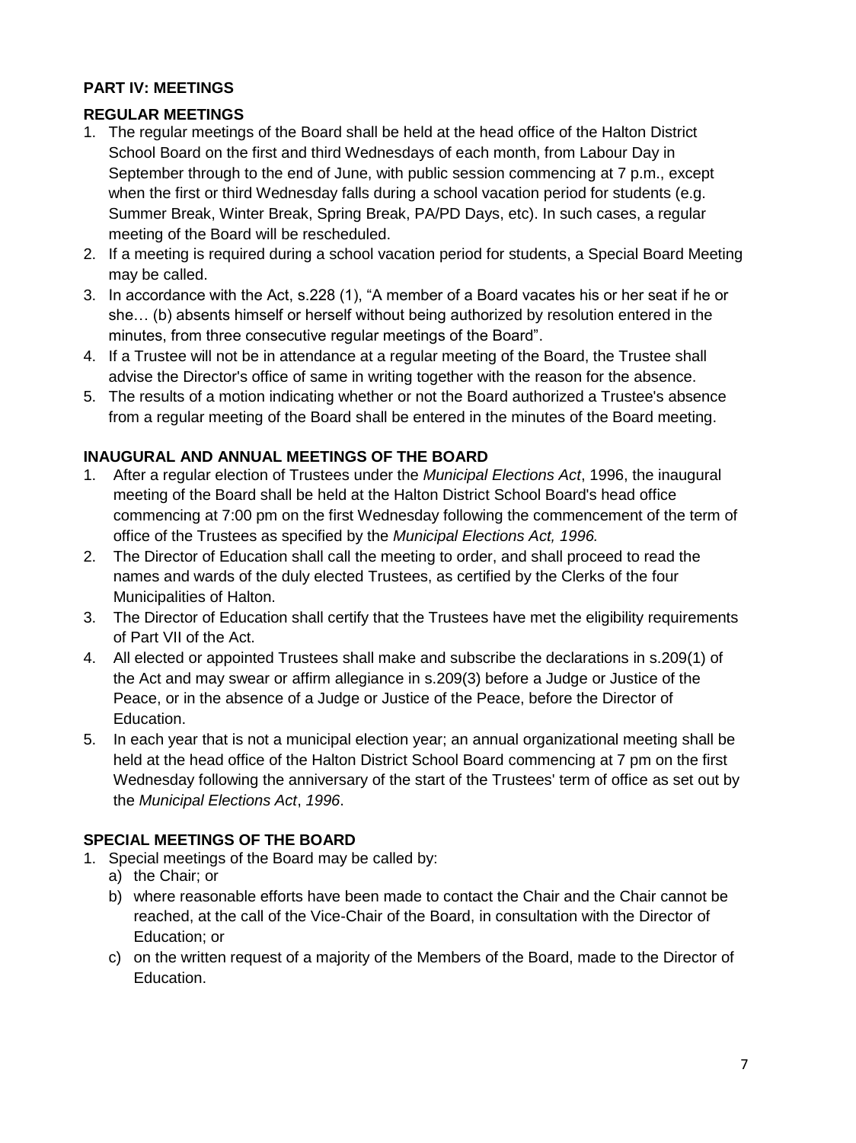# <span id="page-6-0"></span>**PART IV: MEETINGS**

# <span id="page-6-1"></span>**REGULAR MEETINGS**

- 1. The regular meetings of the Board shall be held at the head office of the Halton District School Board on the first and third Wednesdays of each month, from Labour Day in September through to the end of June, with public session commencing at 7 p.m., except when the first or third Wednesday falls during a school vacation period for students (e.g. Summer Break, Winter Break, Spring Break, PA/PD Days, etc). In such cases, a regular meeting of the Board will be rescheduled.
- 2. If a meeting is required during a school vacation period for students, a Special Board Meeting may be called.
- 3. In accordance with the Act, s.228 (1), "A member of a Board vacates his or her seat if he or she… (b) absents himself or herself without being authorized by resolution entered in the minutes, from three consecutive regular meetings of the Board".
- 4. If a Trustee will not be in attendance at a regular meeting of the Board, the Trustee shall advise the Director's office of same in writing together with the reason for the absence.
- 5. The results of a motion indicating whether or not the Board authorized a Trustee's absence from a regular meeting of the Board shall be entered in the minutes of the Board meeting.

## <span id="page-6-2"></span>**INAUGURAL AND ANNUAL MEETINGS OF THE BOARD**

- 1. After a regular election of Trustees under the *Municipal Elections Act*, 1996, the inaugural meeting of the Board shall be held at the Halton District School Board's head office commencing at 7:00 pm on the first Wednesday following the commencement of the term of office of the Trustees as specified by the *Municipal Elections Act, 1996.*
- 2. The Director of Education shall call the meeting to order, and shall proceed to read the names and wards of the duly elected Trustees, as certified by the Clerks of the four Municipalities of Halton.
- 3. The Director of Education shall certify that the Trustees have met the eligibility requirements of Part VII of the Act.
- 4. All elected or appointed Trustees shall make and subscribe the declarations in s.209(1) of the Act and may swear or affirm allegiance in s.209(3) before a Judge or Justice of the Peace, or in the absence of a Judge or Justice of the Peace, before the Director of Education.
- 5. In each year that is not a municipal election year; an annual organizational meeting shall be held at the head office of the Halton District School Board commencing at 7 pm on the first Wednesday following the anniversary of the start of the Trustees' term of office as set out by the *Municipal Elections Act*, *1996*.

# <span id="page-6-3"></span>**SPECIAL MEETINGS OF THE BOARD**

- 1. Special meetings of the Board may be called by:
	- a) the Chair; or
	- b) where reasonable efforts have been made to contact the Chair and the Chair cannot be reached, at the call of the Vice-Chair of the Board, in consultation with the Director of Education; or
	- c) on the written request of a majority of the Members of the Board, made to the Director of Education.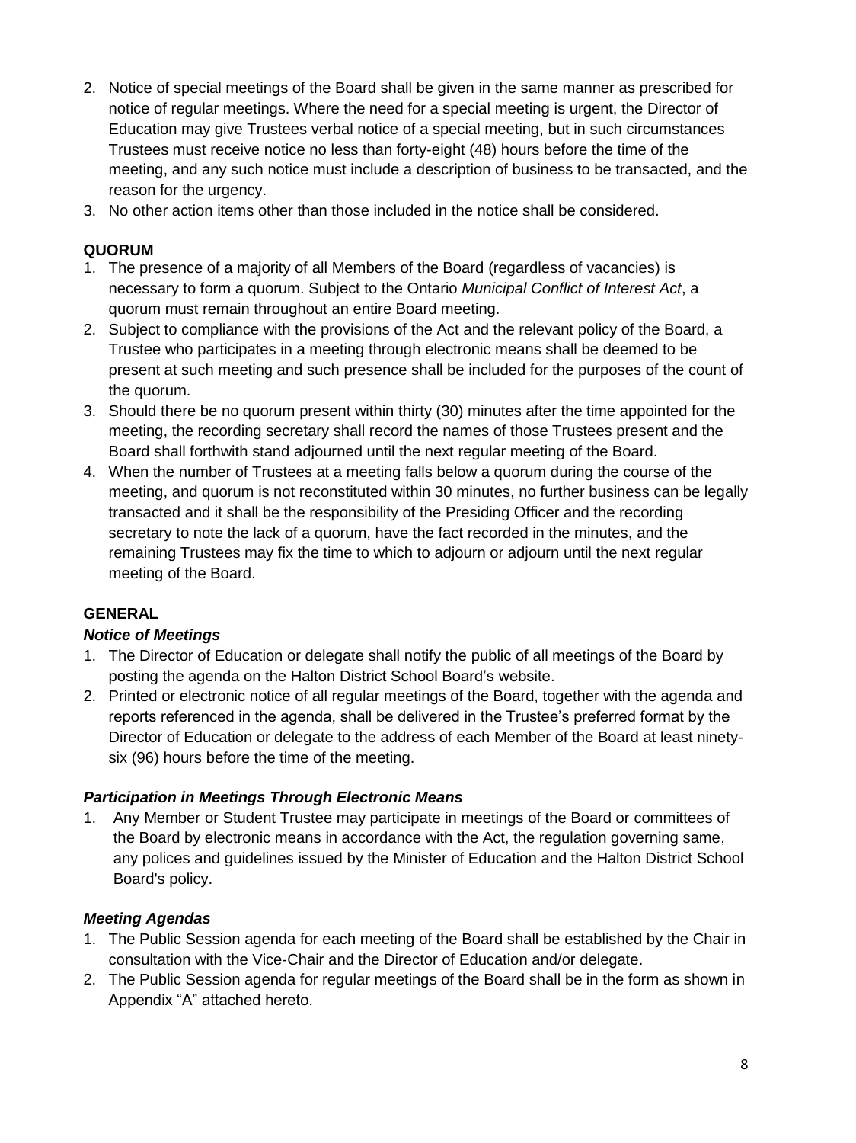- 2. Notice of special meetings of the Board shall be given in the same manner as prescribed for notice of regular meetings. Where the need for a special meeting is urgent, the Director of Education may give Trustees verbal notice of a special meeting, but in such circumstances Trustees must receive notice no less than forty-eight (48) hours before the time of the meeting, and any such notice must include a description of business to be transacted, and the reason for the urgency.
- 3. No other action items other than those included in the notice shall be considered.

## <span id="page-7-0"></span>**QUORUM**

- 1. The presence of a majority of all Members of the Board (regardless of vacancies) is necessary to form a quorum. Subject to the Ontario *Municipal Conflict of Interest Act*, a quorum must remain throughout an entire Board meeting.
- 2. Subject to compliance with the provisions of the Act and the relevant policy of the Board, a Trustee who participates in a meeting through electronic means shall be deemed to be present at such meeting and such presence shall be included for the purposes of the count of the quorum.
- 3. Should there be no quorum present within thirty (30) minutes after the time appointed for the meeting, the recording secretary shall record the names of those Trustees present and the Board shall forthwith stand adjourned until the next regular meeting of the Board.
- 4. When the number of Trustees at a meeting falls below a quorum during the course of the meeting, and quorum is not reconstituted within 30 minutes, no further business can be legally transacted and it shall be the responsibility of the Presiding Officer and the recording secretary to note the lack of a quorum, have the fact recorded in the minutes, and the remaining Trustees may fix the time to which to adjourn or adjourn until the next regular meeting of the Board.

# <span id="page-7-1"></span>**GENERAL**

## <span id="page-7-2"></span>*Notice of Meetings*

- 1. The Director of Education or delegate shall notify the public of all meetings of the Board by posting the agenda on the Halton District School Board's website.
- 2. Printed or electronic notice of all regular meetings of the Board, together with the agenda and reports referenced in the agenda, shall be delivered in the Trustee's preferred format by the Director of Education or delegate to the address of each Member of the Board at least ninetysix (96) hours before the time of the meeting.

## <span id="page-7-3"></span>*Participation in Meetings Through Electronic Means*

1. Any Member or Student Trustee may participate in meetings of the Board or committees of the Board by electronic means in accordance with the Act, the regulation governing same, any polices and guidelines issued by the Minister of Education and the Halton District School Board's policy.

## <span id="page-7-4"></span>*Meeting Agendas*

- 1. The Public Session agenda for each meeting of the Board shall be established by the Chair in consultation with the Vice-Chair and the Director of Education and/or delegate.
- 2. The Public Session agenda for regular meetings of the Board shall be in the form as shown in Appendix "A" attached hereto.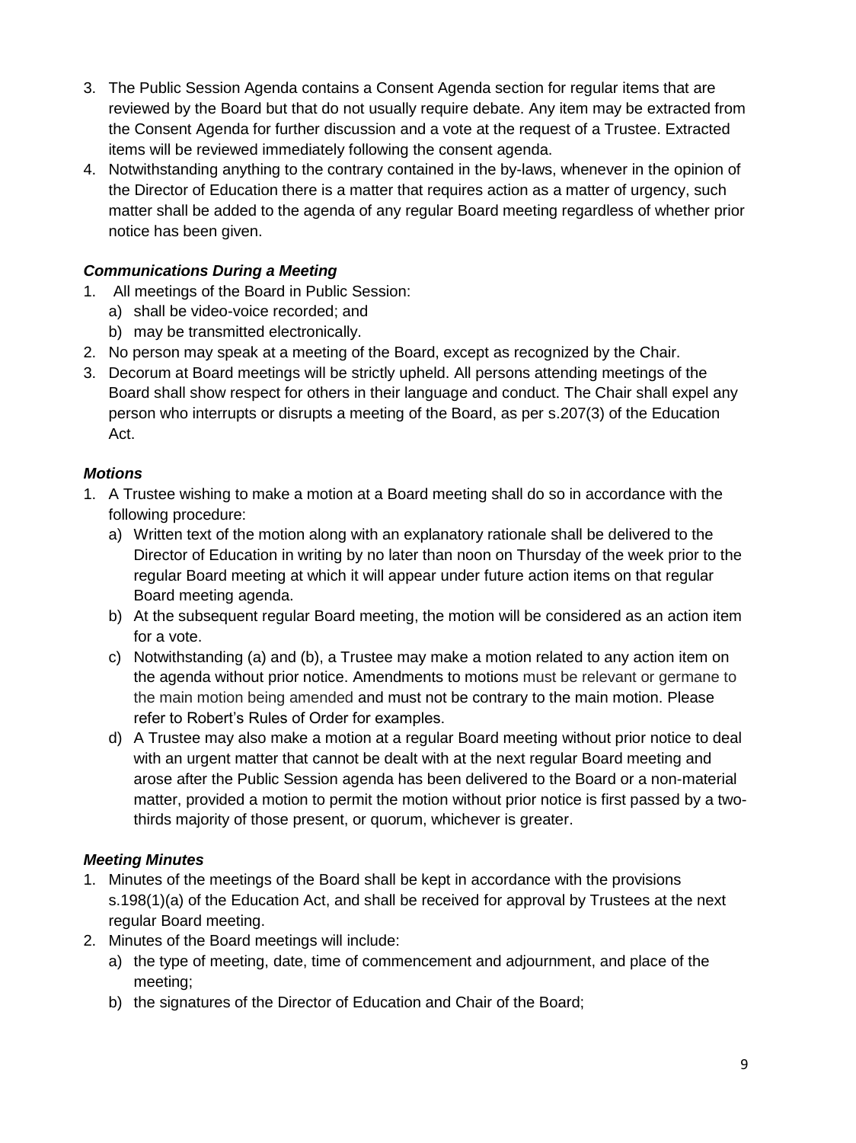- 3. The Public Session Agenda contains a Consent Agenda section for regular items that are reviewed by the Board but that do not usually require debate. Any item may be extracted from the Consent Agenda for further discussion and a vote at the request of a Trustee. Extracted items will be reviewed immediately following the consent agenda.
- 4. Notwithstanding anything to the contrary contained in the by-laws, whenever in the opinion of the Director of Education there is a matter that requires action as a matter of urgency, such matter shall be added to the agenda of any regular Board meeting regardless of whether prior notice has been given.

# <span id="page-8-0"></span>*Communications During a Meeting*

- 1. All meetings of the Board in Public Session:
	- a) shall be video-voice recorded; and
	- b) may be transmitted electronically.
- 2. No person may speak at a meeting of the Board, except as recognized by the Chair.
- 3. Decorum at Board meetings will be strictly upheld. All persons attending meetings of the Board shall show respect for others in their language and conduct. The Chair shall expel any person who interrupts or disrupts a meeting of the Board, as per s.207(3) of the Education Act.

## <span id="page-8-1"></span>*Motions*

- 1. A Trustee wishing to make a motion at a Board meeting shall do so in accordance with the following procedure:
	- a) Written text of the motion along with an explanatory rationale shall be delivered to the Director of Education in writing by no later than noon on Thursday of the week prior to the regular Board meeting at which it will appear under future action items on that regular Board meeting agenda.
	- b) At the subsequent regular Board meeting, the motion will be considered as an action item for a vote.
	- c) Notwithstanding (a) and (b), a Trustee may make a motion related to any action item on the agenda without prior notice. Amendments to motions must be relevant or germane to the main motion being amended and must not be contrary to the main motion. Please refer to Robert's Rules of Order for examples.
	- d) A Trustee may also make a motion at a regular Board meeting without prior notice to deal with an urgent matter that cannot be dealt with at the next regular Board meeting and arose after the Public Session agenda has been delivered to the Board or a non-material matter, provided a motion to permit the motion without prior notice is first passed by a twothirds majority of those present, or quorum, whichever is greater.

## <span id="page-8-2"></span>*Meeting Minutes*

- 1. Minutes of the meetings of the Board shall be kept in accordance with the provisions s.198(1)(a) of the Education Act, and shall be received for approval by Trustees at the next regular Board meeting.
- 2. Minutes of the Board meetings will include:
	- a) the type of meeting, date, time of commencement and adjournment, and place of the meeting;
	- b) the signatures of the Director of Education and Chair of the Board;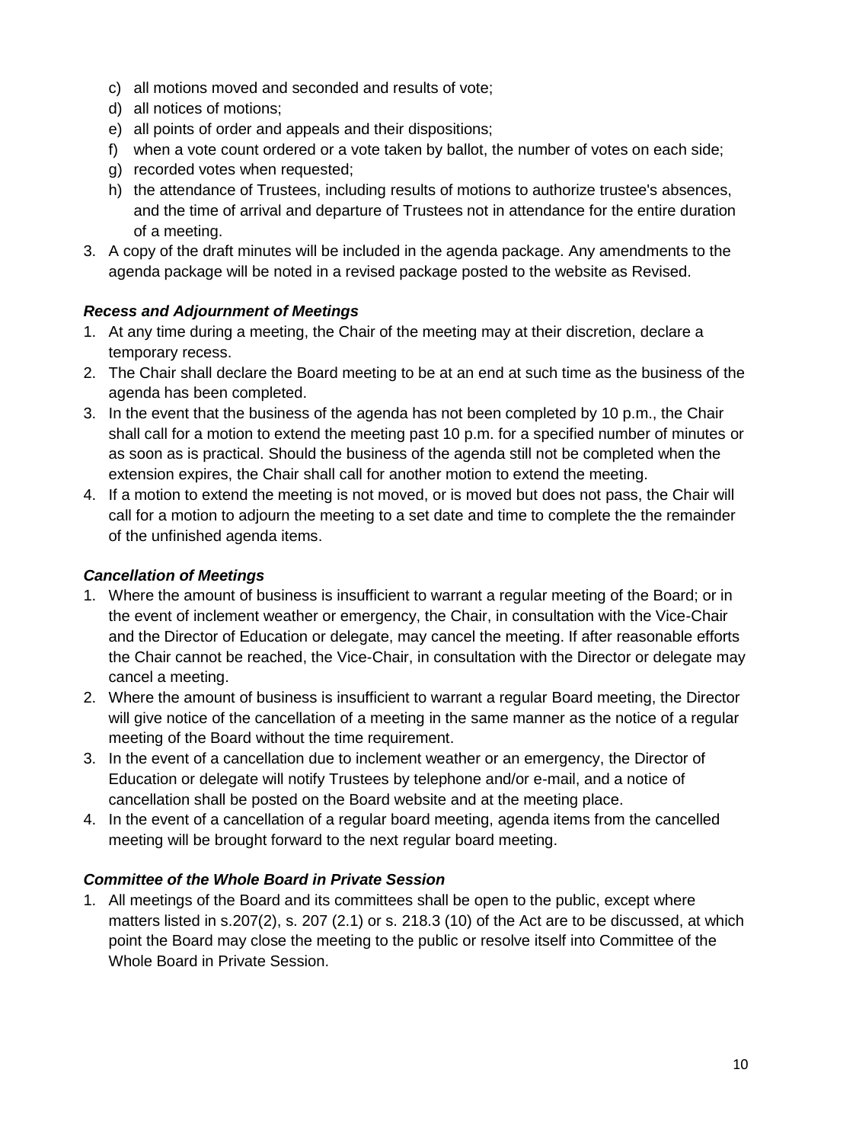- c) all motions moved and seconded and results of vote;
- d) all notices of motions;
- e) all points of order and appeals and their dispositions;
- f) when a vote count ordered or a vote taken by ballot, the number of votes on each side;
- g) recorded votes when requested;
- h) the attendance of Trustees, including results of motions to authorize trustee's absences, and the time of arrival and departure of Trustees not in attendance for the entire duration of a meeting.
- 3. A copy of the draft minutes will be included in the agenda package. Any amendments to the agenda package will be noted in a revised package posted to the website as Revised.

#### <span id="page-9-0"></span>*Recess and Adjournment of Meetings*

- 1. At any time during a meeting, the Chair of the meeting may at their discretion, declare a temporary recess.
- 2. The Chair shall declare the Board meeting to be at an end at such time as the business of the agenda has been completed.
- 3. In the event that the business of the agenda has not been completed by 10 p.m., the Chair shall call for a motion to extend the meeting past 10 p.m. for a specified number of minutes or as soon as is practical. Should the business of the agenda still not be completed when the extension expires, the Chair shall call for another motion to extend the meeting.
- 4. If a motion to extend the meeting is not moved, or is moved but does not pass, the Chair will call for a motion to adjourn the meeting to a set date and time to complete the the remainder of the unfinished agenda items.

#### <span id="page-9-1"></span>*Cancellation of Meetings*

- 1. Where the amount of business is insufficient to warrant a regular meeting of the Board; or in the event of inclement weather or emergency, the Chair, in consultation with the Vice-Chair and the Director of Education or delegate, may cancel the meeting. If after reasonable efforts the Chair cannot be reached, the Vice-Chair, in consultation with the Director or delegate may cancel a meeting.
- 2. Where the amount of business is insufficient to warrant a regular Board meeting, the Director will give notice of the cancellation of a meeting in the same manner as the notice of a regular meeting of the Board without the time requirement.
- 3. In the event of a cancellation due to inclement weather or an emergency, the Director of Education or delegate will notify Trustees by telephone and/or e-mail, and a notice of cancellation shall be posted on the Board website and at the meeting place.
- 4. In the event of a cancellation of a regular board meeting, agenda items from the cancelled meeting will be brought forward to the next regular board meeting.

## <span id="page-9-2"></span>*Committee of the Whole Board in Private Session*

1. All meetings of the Board and its committees shall be open to the public, except where matters listed in s.207(2), s. 207 (2.1) or s. 218.3 (10) of the Act are to be discussed, at which point the Board may close the meeting to the public or resolve itself into Committee of the Whole Board in Private Session.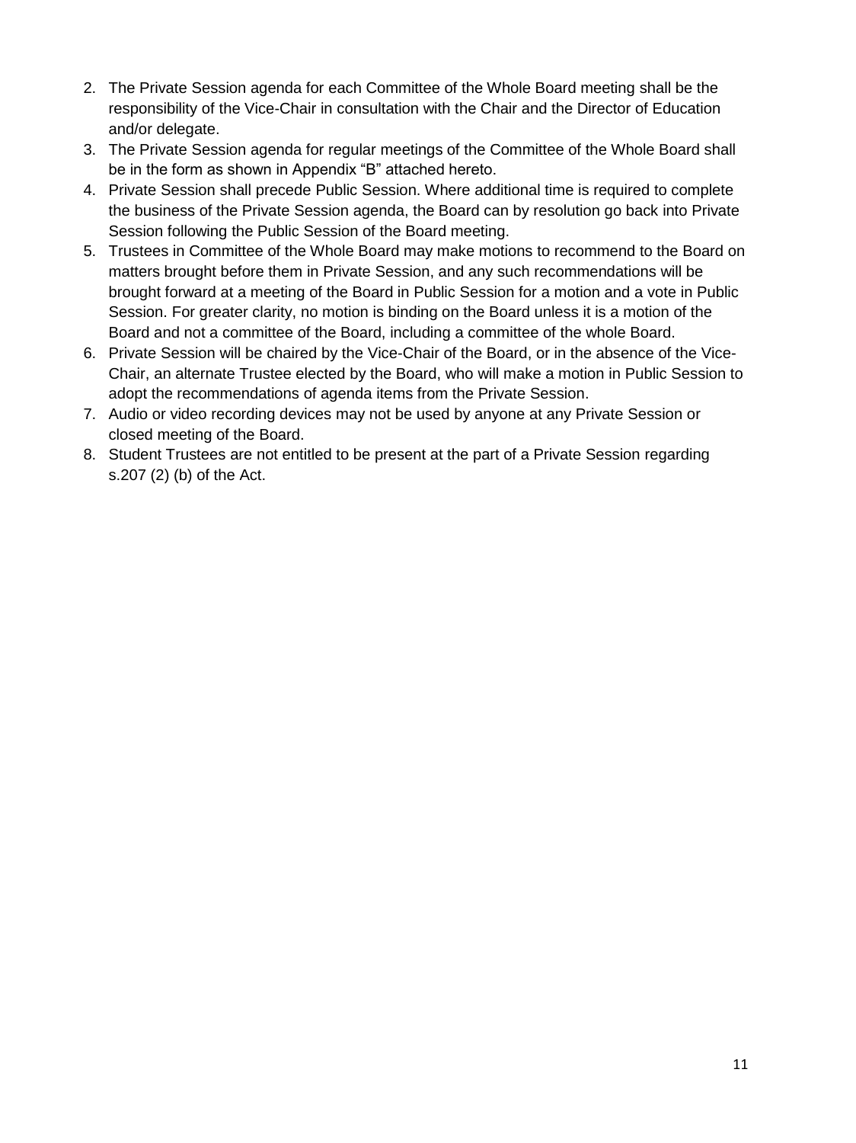- 2. The Private Session agenda for each Committee of the Whole Board meeting shall be the responsibility of the Vice-Chair in consultation with the Chair and the Director of Education and/or delegate.
- 3. The Private Session agenda for regular meetings of the Committee of the Whole Board shall be in the form as shown in Appendix "B" attached hereto.
- 4. Private Session shall precede Public Session. Where additional time is required to complete the business of the Private Session agenda, the Board can by resolution go back into Private Session following the Public Session of the Board meeting.
- 5. Trustees in Committee of the Whole Board may make motions to recommend to the Board on matters brought before them in Private Session, and any such recommendations will be brought forward at a meeting of the Board in Public Session for a motion and a vote in Public Session. For greater clarity, no motion is binding on the Board unless it is a motion of the Board and not a committee of the Board, including a committee of the whole Board.
- 6. Private Session will be chaired by the Vice-Chair of the Board, or in the absence of the Vice-Chair, an alternate Trustee elected by the Board, who will make a motion in Public Session to adopt the recommendations of agenda items from the Private Session.
- 7. Audio or video recording devices may not be used by anyone at any Private Session or closed meeting of the Board.
- 8. Student Trustees are not entitled to be present at the part of a Private Session regarding s.207 (2) (b) of the Act.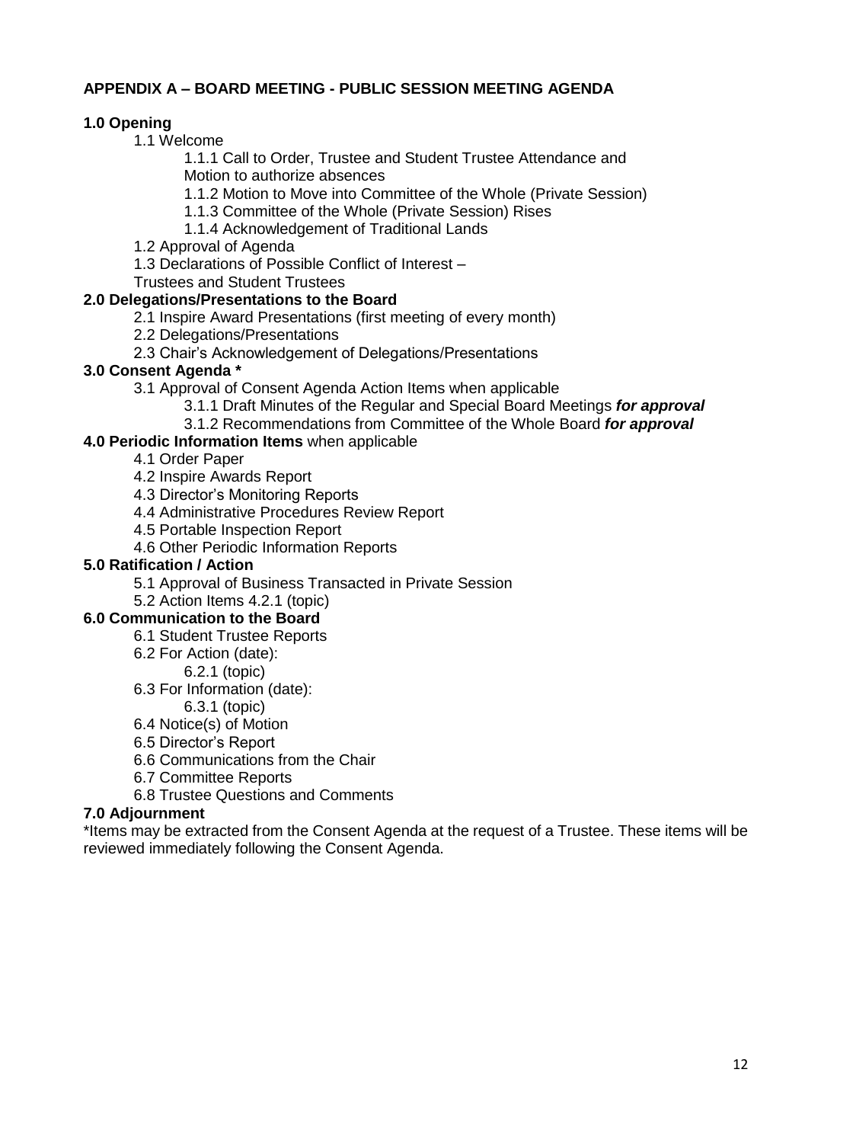## <span id="page-11-0"></span>**APPENDIX A – BOARD MEETING - PUBLIC SESSION MEETING AGENDA**

## **1.0 Opening**

1.1 Welcome

1.1.1 Call to Order, Trustee and Student Trustee Attendance and Motion to authorize absences

1.1.2 Motion to Move into Committee of the Whole (Private Session)

1.1.3 Committee of the Whole (Private Session) Rises

- 1.1.4 Acknowledgement of Traditional Lands
- 1.2 Approval of Agenda
- 1.3 Declarations of Possible Conflict of Interest –

Trustees and Student Trustees

## **2.0 Delegations/Presentations to the Board**

- 2.1 Inspire Award Presentations (first meeting of every month)
- 2.2 Delegations/Presentations
- 2.3 Chair's Acknowledgement of Delegations/Presentations

#### **3.0 Consent Agenda \***

- 3.1 Approval of Consent Agenda Action Items when applicable
	- 3.1.1 Draft Minutes of the Regular and Special Board Meetings *for approval*
	- 3.1.2 Recommendations from Committee of the Whole Board *for approval*

## **4.0 Periodic Information Items** when applicable

- 4.1 Order Paper
- 4.2 Inspire Awards Report
- 4.3 Director's Monitoring Reports
- 4.4 Administrative Procedures Review Report
- 4.5 Portable Inspection Report
- 4.6 Other Periodic Information Reports

#### **5.0 Ratification / Action**

- 5.1 Approval of Business Transacted in Private Session
- 5.2 Action Items 4.2.1 (topic)

#### **6.0 Communication to the Board**

- 6.1 Student Trustee Reports
	- 6.2 For Action (date):
		- 6.2.1 (topic)
	- 6.3 For Information (date):
	- 6.3.1 (topic)
	- 6.4 Notice(s) of Motion
	- 6.5 Director's Report
	- 6.6 Communications from the Chair
	- 6.7 Committee Reports
	- 6.8 Trustee Questions and Comments

## **7.0 Adjournment**

\*Items may be extracted from the Consent Agenda at the request of a Trustee. These items will be reviewed immediately following the Consent Agenda.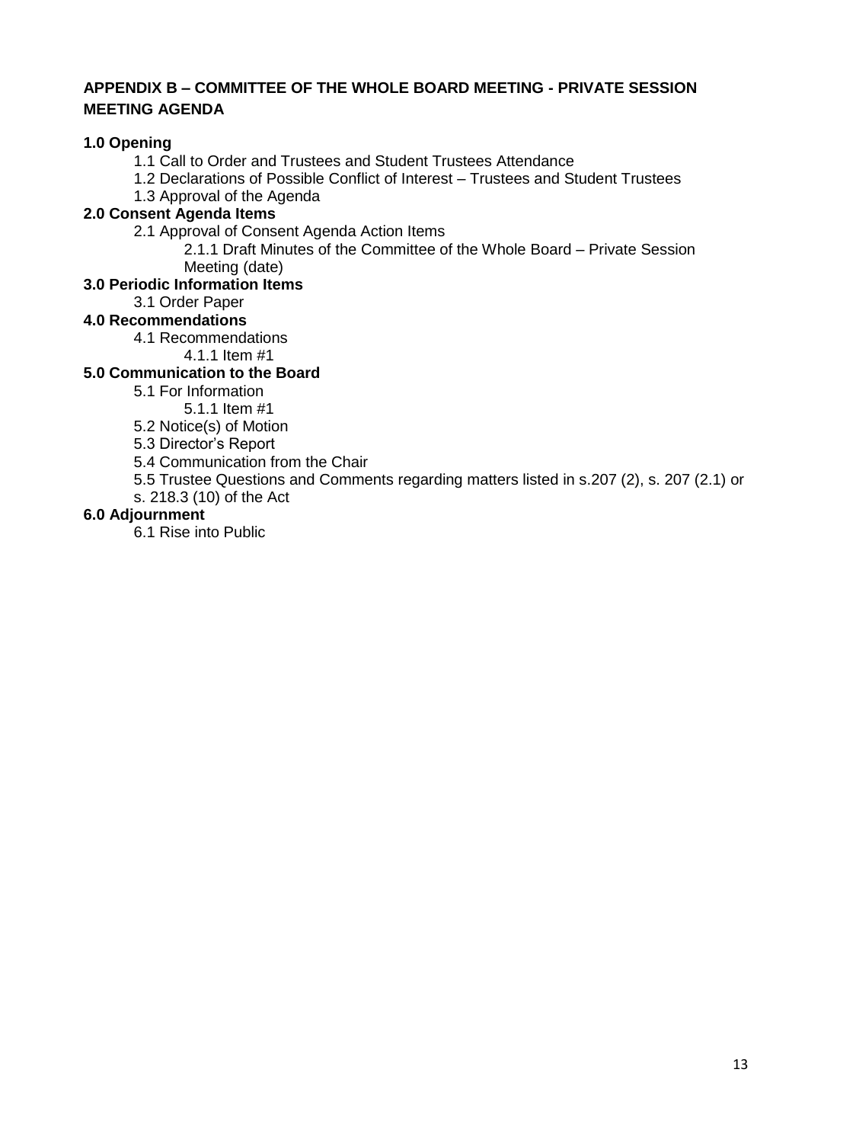## <span id="page-12-0"></span>**APPENDIX B – COMMITTEE OF THE WHOLE BOARD MEETING - PRIVATE SESSION MEETING AGENDA**

## **1.0 Opening**

1.1 Call to Order and Trustees and Student Trustees Attendance

1.2 Declarations of Possible Conflict of Interest – Trustees and Student Trustees

1.3 Approval of the Agenda

## **2.0 Consent Agenda Items**

2.1 Approval of Consent Agenda Action Items

2.1.1 Draft Minutes of the Committee of the Whole Board – Private Session Meeting (date)

#### **3.0 Periodic Information Items**

3.1 Order Paper

## **4.0 Recommendations**

4.1 Recommendations

4.1.1 Item #1

# **5.0 Communication to the Board**

5.1 For Information

5.1.1 Item #1

5.2 Notice(s) of Motion

5.3 Director's Report

5.4 Communication from the Chair

5.5 Trustee Questions and Comments regarding matters listed in s.207 (2), s. 207 (2.1) or

s. 218.3 (10) of the Act

## **6.0 Adjournment**

6.1 Rise into Public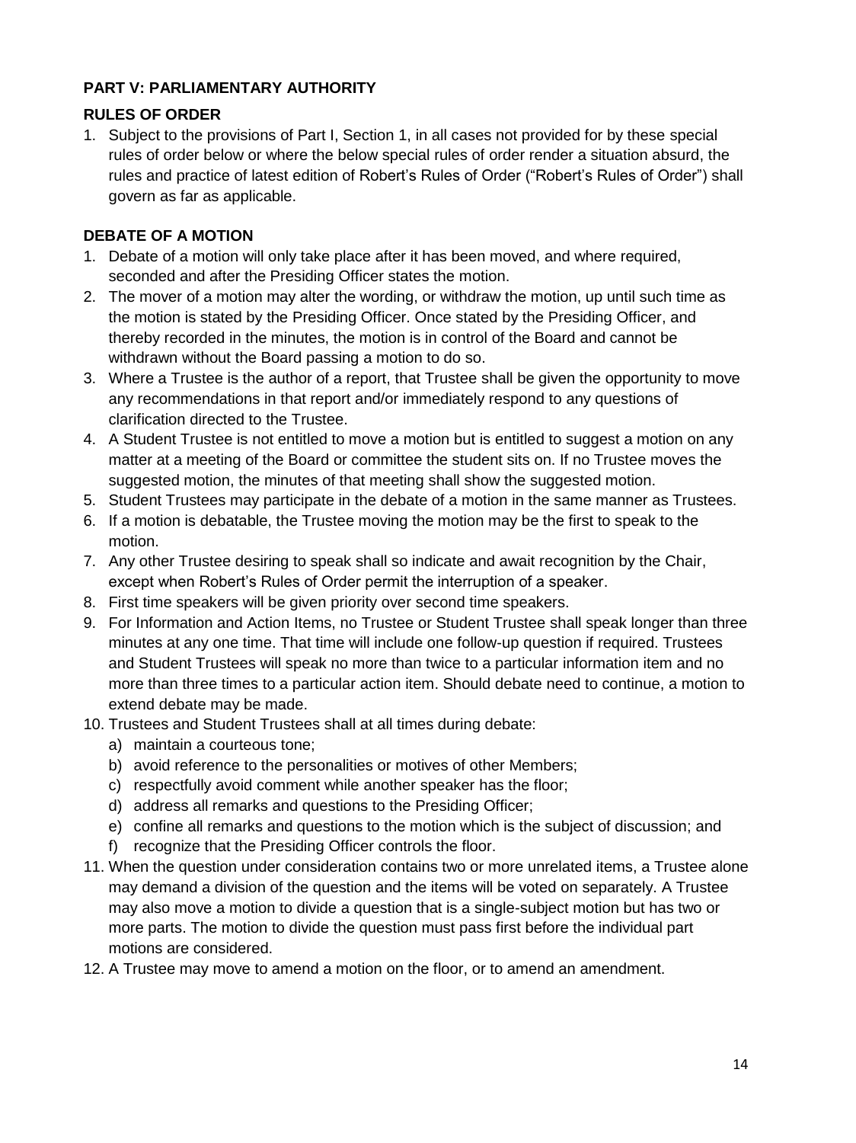# <span id="page-13-0"></span>**PART V: PARLIAMENTARY AUTHORITY**

# <span id="page-13-1"></span>**RULES OF ORDER**

1. Subject to the provisions of Part I, Section 1, in all cases not provided for by these special rules of order below or where the below special rules of order render a situation absurd, the rules and practice of latest edition of Robert's Rules of Order ("Robert's Rules of Order") shall govern as far as applicable.

# <span id="page-13-2"></span>**DEBATE OF A MOTION**

- 1. Debate of a motion will only take place after it has been moved, and where required, seconded and after the Presiding Officer states the motion.
- 2. The mover of a motion may alter the wording, or withdraw the motion, up until such time as the motion is stated by the Presiding Officer. Once stated by the Presiding Officer, and thereby recorded in the minutes, the motion is in control of the Board and cannot be withdrawn without the Board passing a motion to do so.
- 3. Where a Trustee is the author of a report, that Trustee shall be given the opportunity to move any recommendations in that report and/or immediately respond to any questions of clarification directed to the Trustee.
- 4. A Student Trustee is not entitled to move a motion but is entitled to suggest a motion on any matter at a meeting of the Board or committee the student sits on. If no Trustee moves the suggested motion, the minutes of that meeting shall show the suggested motion.
- 5. Student Trustees may participate in the debate of a motion in the same manner as Trustees.
- 6. If a motion is debatable, the Trustee moving the motion may be the first to speak to the motion.
- 7. Any other Trustee desiring to speak shall so indicate and await recognition by the Chair, except when Robert's Rules of Order permit the interruption of a speaker.
- 8. First time speakers will be given priority over second time speakers.
- 9. For Information and Action Items, no Trustee or Student Trustee shall speak longer than three minutes at any one time. That time will include one follow-up question if required. Trustees and Student Trustees will speak no more than twice to a particular information item and no more than three times to a particular action item. Should debate need to continue, a motion to extend debate may be made.
- 10. Trustees and Student Trustees shall at all times during debate:
	- a) maintain a courteous tone;
	- b) avoid reference to the personalities or motives of other Members;
	- c) respectfully avoid comment while another speaker has the floor;
	- d) address all remarks and questions to the Presiding Officer;
	- e) confine all remarks and questions to the motion which is the subject of discussion; and
	- f) recognize that the Presiding Officer controls the floor.
- 11. When the question under consideration contains two or more unrelated items, a Trustee alone may demand a division of the question and the items will be voted on separately. A Trustee may also move a motion to divide a question that is a single-subject motion but has two or more parts. The motion to divide the question must pass first before the individual part motions are considered.
- 12. A Trustee may move to amend a motion on the floor, or to amend an amendment.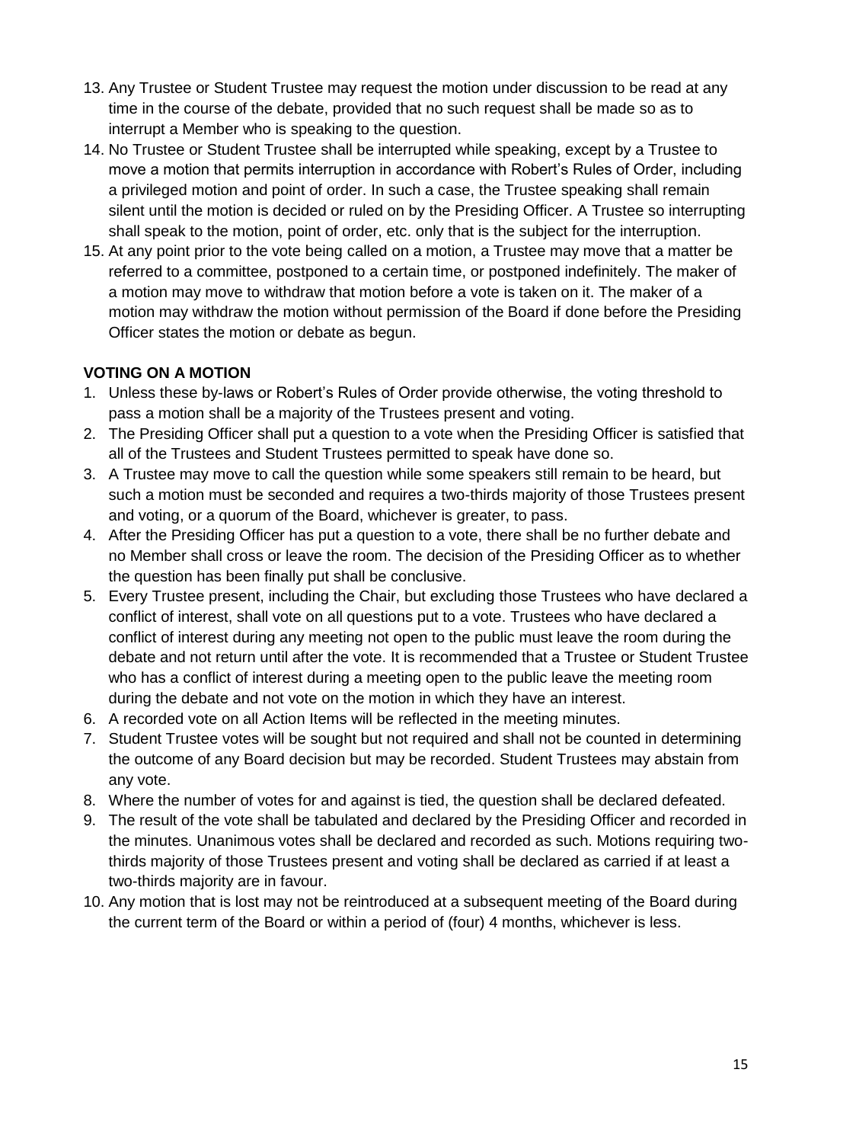- 13. Any Trustee or Student Trustee may request the motion under discussion to be read at any time in the course of the debate, provided that no such request shall be made so as to interrupt a Member who is speaking to the question.
- 14. No Trustee or Student Trustee shall be interrupted while speaking, except by a Trustee to move a motion that permits interruption in accordance with Robert's Rules of Order, including a privileged motion and point of order. In such a case, the Trustee speaking shall remain silent until the motion is decided or ruled on by the Presiding Officer. A Trustee so interrupting shall speak to the motion, point of order, etc. only that is the subject for the interruption.
- 15. At any point prior to the vote being called on a motion, a Trustee may move that a matter be referred to a committee, postponed to a certain time, or postponed indefinitely. The maker of a motion may move to withdraw that motion before a vote is taken on it. The maker of a motion may withdraw the motion without permission of the Board if done before the Presiding Officer states the motion or debate as begun.

# <span id="page-14-0"></span>**VOTING ON A MOTION**

- 1. Unless these by-laws or Robert's Rules of Order provide otherwise, the voting threshold to pass a motion shall be a majority of the Trustees present and voting.
- 2. The Presiding Officer shall put a question to a vote when the Presiding Officer is satisfied that all of the Trustees and Student Trustees permitted to speak have done so.
- 3. A Trustee may move to call the question while some speakers still remain to be heard, but such a motion must be seconded and requires a two-thirds majority of those Trustees present and voting, or a quorum of the Board, whichever is greater, to pass.
- 4. After the Presiding Officer has put a question to a vote, there shall be no further debate and no Member shall cross or leave the room. The decision of the Presiding Officer as to whether the question has been finally put shall be conclusive.
- 5. Every Trustee present, including the Chair, but excluding those Trustees who have declared a conflict of interest, shall vote on all questions put to a vote. Trustees who have declared a conflict of interest during any meeting not open to the public must leave the room during the debate and not return until after the vote. It is recommended that a Trustee or Student Trustee who has a conflict of interest during a meeting open to the public leave the meeting room during the debate and not vote on the motion in which they have an interest.
- 6. A recorded vote on all Action Items will be reflected in the meeting minutes.
- 7. Student Trustee votes will be sought but not required and shall not be counted in determining the outcome of any Board decision but may be recorded. Student Trustees may abstain from any vote.
- 8. Where the number of votes for and against is tied, the question shall be declared defeated.
- 9. The result of the vote shall be tabulated and declared by the Presiding Officer and recorded in the minutes. Unanimous votes shall be declared and recorded as such. Motions requiring twothirds majority of those Trustees present and voting shall be declared as carried if at least a two-thirds majority are in favour.
- 10. Any motion that is lost may not be reintroduced at a subsequent meeting of the Board during the current term of the Board or within a period of (four) 4 months, whichever is less.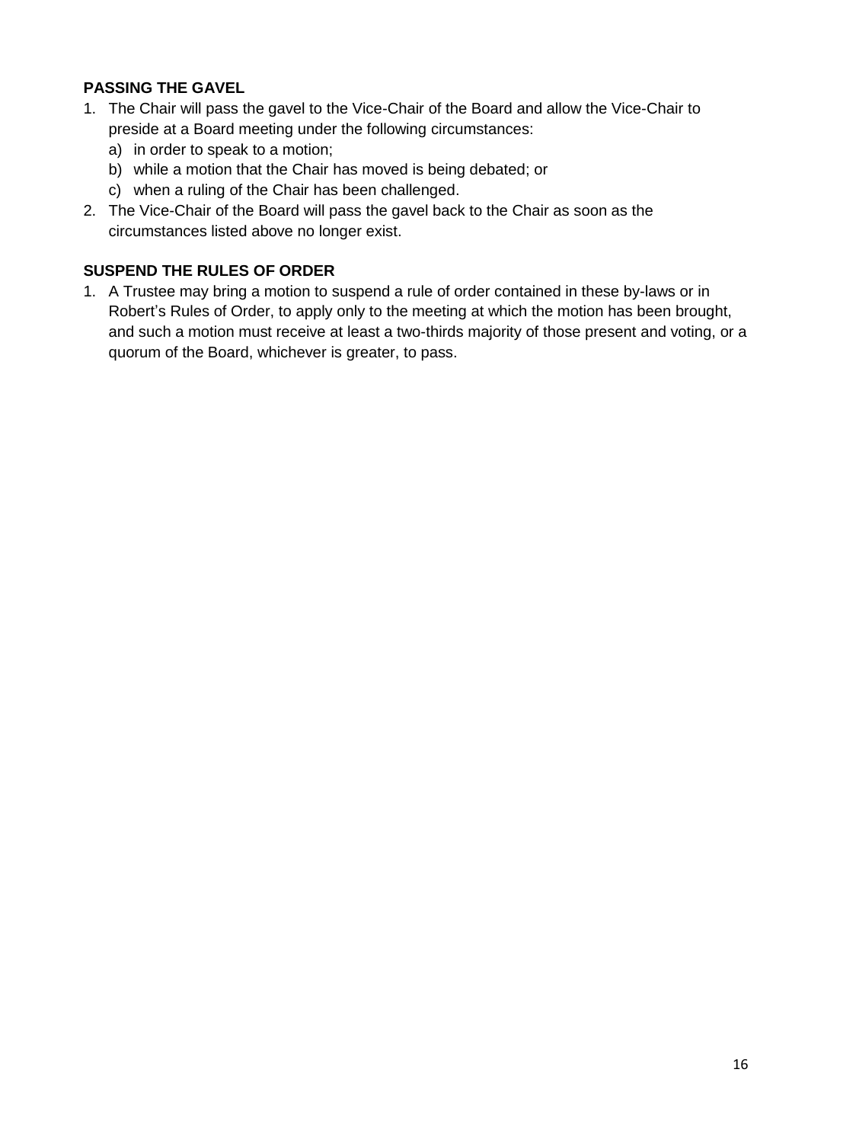# <span id="page-15-0"></span>**PASSING THE GAVEL**

- 1. The Chair will pass the gavel to the Vice-Chair of the Board and allow the Vice-Chair to preside at a Board meeting under the following circumstances:
	- a) in order to speak to a motion;
	- b) while a motion that the Chair has moved is being debated; or
	- c) when a ruling of the Chair has been challenged.
- 2. The Vice-Chair of the Board will pass the gavel back to the Chair as soon as the circumstances listed above no longer exist.

# <span id="page-15-1"></span>**SUSPEND THE RULES OF ORDER**

1. A Trustee may bring a motion to suspend a rule of order contained in these by-laws or in Robert's Rules of Order, to apply only to the meeting at which the motion has been brought, and such a motion must receive at least a two-thirds majority of those present and voting, or a quorum of the Board, whichever is greater, to pass.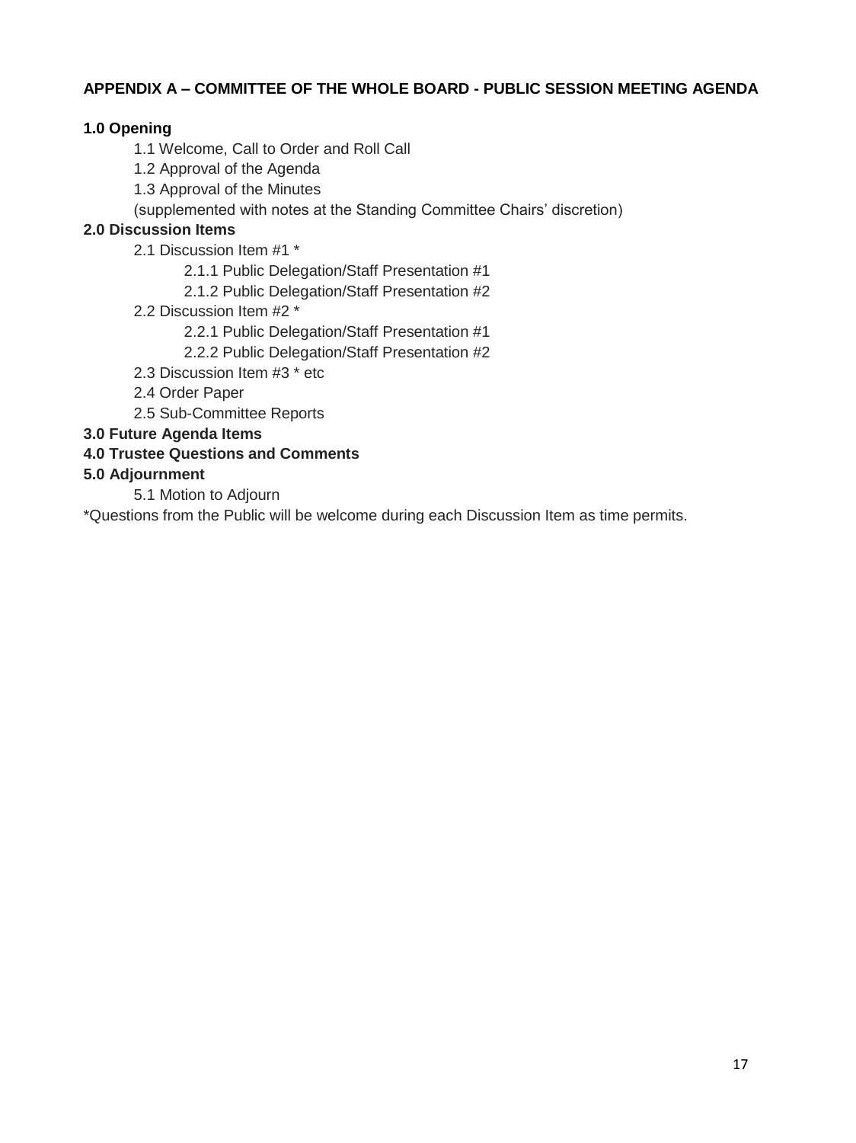# <span id="page-16-0"></span>**APPENDIX A – COMMITTEE OF THE WHOLE BOARD - PUBLIC SESSION MEETING AGENDA**

## **1.0 Opening**

- 1.1 Welcome, Call to Order and Roll Call
- 1.2 Approval of the Agenda
- 1.3 Approval of the Minutes
- (supplemented with notes at the Standing Committee Chairs' discretion)

## **2.0 Discussion Items**

- 2.1 Discussion Item #1 \*
	- 2.1.1 Public Delegation/Staff Presentation #1
	- 2.1.2 Public Delegation/Staff Presentation #2
- 2.2 Discussion Item #2 \*
	- 2.2.1 Public Delegation/Staff Presentation #1
	- 2.2.2 Public Delegation/Staff Presentation #2
- 2.3 Discussion Item #3 \* etc
- 2.4 Order Paper
- 2.5 Sub-Committee Reports

#### **3.0 Future Agenda Items**

## **4.0 Trustee Questions and Comments**

#### **5.0 Adjournment**

5.1 Motion to Adjourn

\*Questions from the Public will be welcome during each Discussion Item as time permits.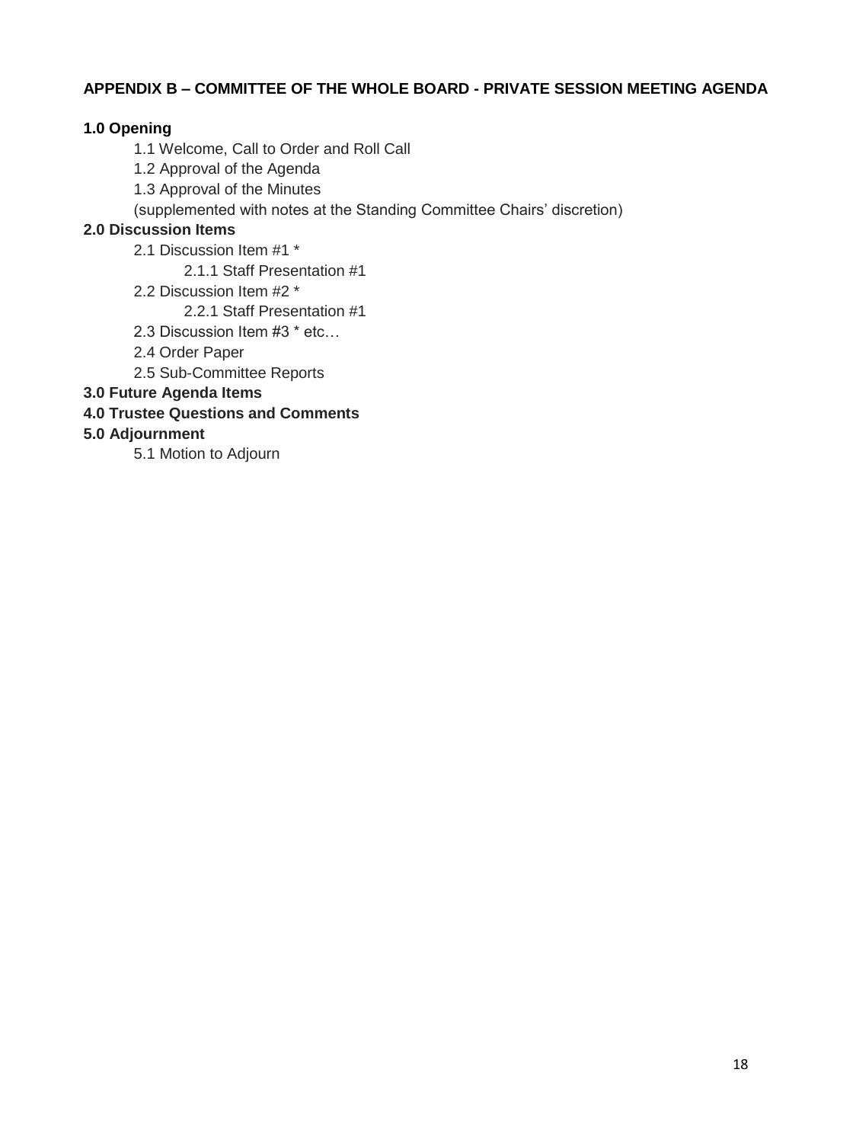## <span id="page-17-0"></span>**APPENDIX B – COMMITTEE OF THE WHOLE BOARD - PRIVATE SESSION MEETING AGENDA**

### **1.0 Opening**

- 1.1 Welcome, Call to Order and Roll Call
- 1.2 Approval of the Agenda
- 1.3 Approval of the Minutes
- (supplemented with notes at the Standing Committee Chairs' discretion)

## **2.0 Discussion Items**

- 2.1 Discussion Item #1 \*
	- 2.1.1 Staff Presentation #1
- 2.2 Discussion Item #2 \*

2.2.1 Staff Presentation #1

- 2.3 Discussion Item #3 \* etc…
- 2.4 Order Paper
- 2.5 Sub-Committee Reports

## **3.0 Future Agenda Items**

## **4.0 Trustee Questions and Comments**

#### **5.0 Adjournment**

5.1 Motion to Adjourn